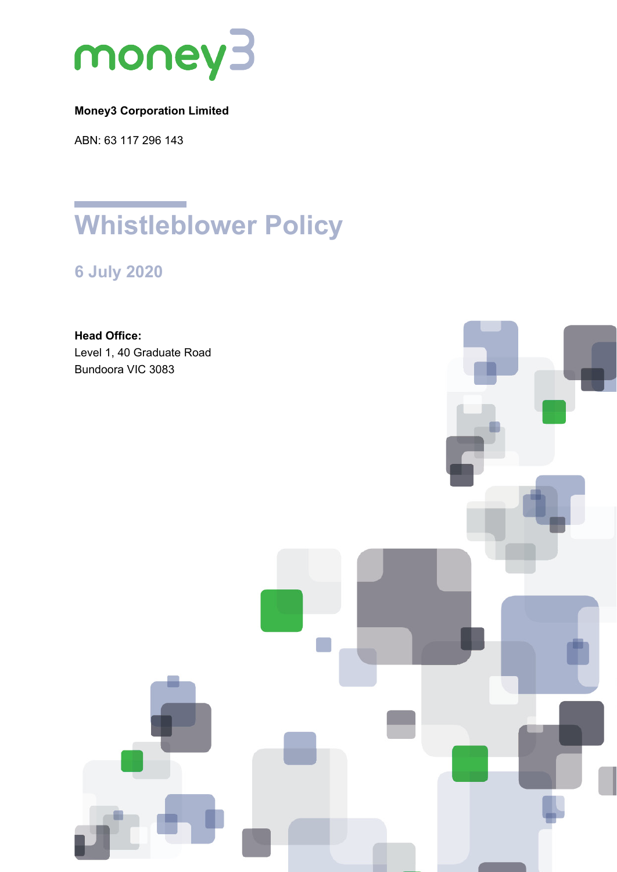

### **Money3 Corporation Limited**

ABN: 63 117 296 143

# **Whistleblower Policy**

## **6 July 2020**

**Head Office:** Level 1, 40 Graduate Road Bundoora VIC 3083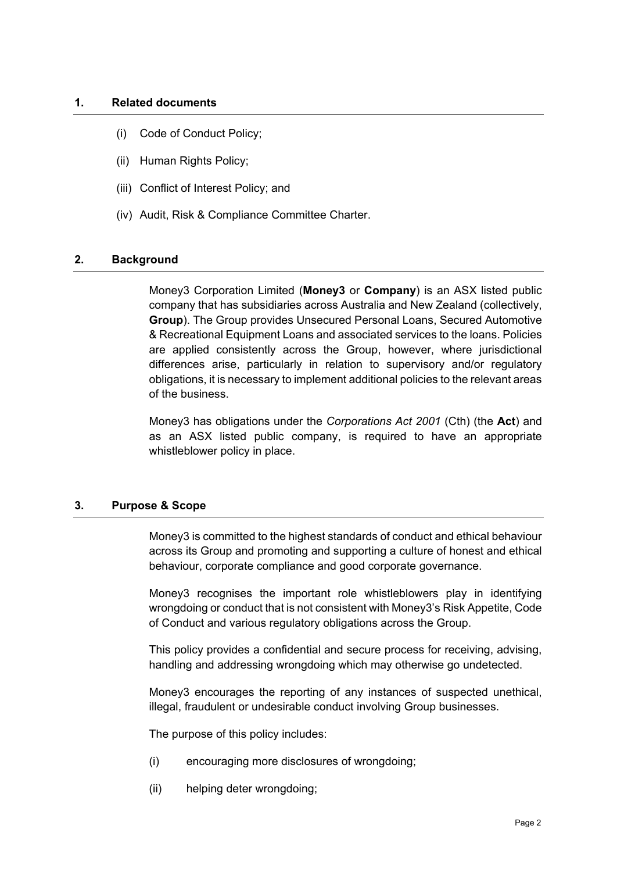#### **1. Related documents**

- (i) Code of Conduct Policy;
- (ii) Human Rights Policy;
- (iii) Conflict of Interest Policy; and
- (iv) Audit, Risk & Compliance Committee Charter.

#### **2. Background**

Money3 Corporation Limited (**Money3** or **Company**) is an ASX listed public company that has subsidiaries across Australia and New Zealand (collectively, **Group**). The Group provides Unsecured Personal Loans, Secured Automotive & Recreational Equipment Loans and associated services to the loans. Policies are applied consistently across the Group, however, where jurisdictional differences arise, particularly in relation to supervisory and/or regulatory obligations, it is necessary to implement additional policies to the relevant areas of the business.

Money3 has obligations under the *Corporations Act 2001* (Cth) (the **Act**) and as an ASX listed public company, is required to have an appropriate whistleblower policy in place.

#### **3. Purpose & Scope**

Money3 is committed to the highest standards of conduct and ethical behaviour across its Group and promoting and supporting a culture of honest and ethical behaviour, corporate compliance and good corporate governance.

Money3 recognises the important role whistleblowers play in identifying wrongdoing or conduct that is not consistent with Money3's Risk Appetite, Code of Conduct and various regulatory obligations across the Group.

This policy provides a confidential and secure process for receiving, advising, handling and addressing wrongdoing which may otherwise go undetected.

Money3 encourages the reporting of any instances of suspected unethical, illegal, fraudulent or undesirable conduct involving Group businesses.

The purpose of this policy includes:

- (i) encouraging more disclosures of wrongdoing;
- (ii) helping deter wrongdoing;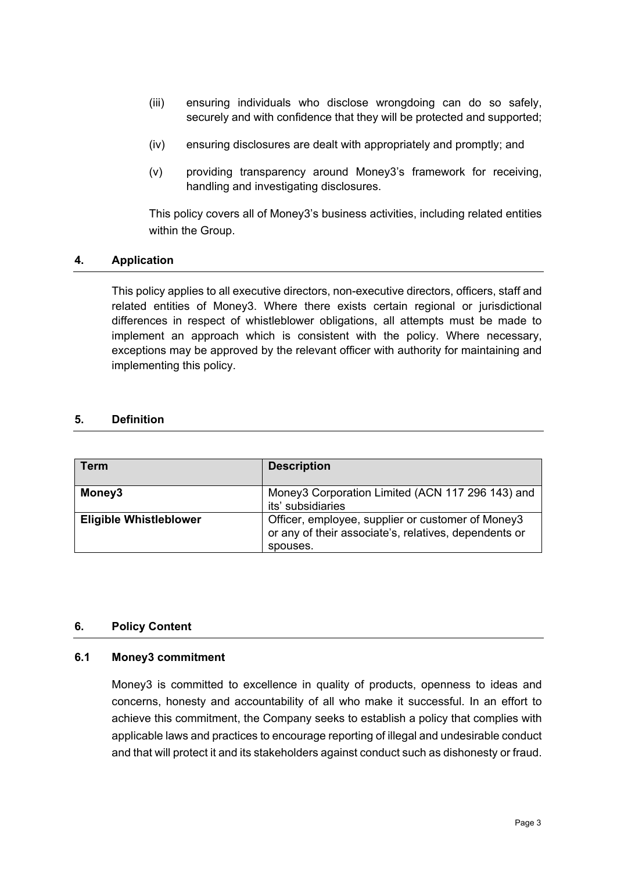- (iii) ensuring individuals who disclose wrongdoing can do so safely, securely and with confidence that they will be protected and supported;
- (iv) ensuring disclosures are dealt with appropriately and promptly; and
- (v) providing transparency around Money3's framework for receiving, handling and investigating disclosures.

This policy covers all of Money3's business activities, including related entities within the Group.

#### **4. Application**

This policy applies to all executive directors, non-executive directors, officers, staff and related entities of Money3. Where there exists certain regional or jurisdictional differences in respect of whistleblower obligations, all attempts must be made to implement an approach which is consistent with the policy. Where necessary, exceptions may be approved by the relevant officer with authority for maintaining and implementing this policy.

#### **5. Definition**

| Term                          | <b>Description</b>                                                                                                     |
|-------------------------------|------------------------------------------------------------------------------------------------------------------------|
| Money3                        | Money3 Corporation Limited (ACN 117 296 143) and<br>its' subsidiaries                                                  |
| <b>Eligible Whistleblower</b> | Officer, employee, supplier or customer of Money3<br>or any of their associate's, relatives, dependents or<br>spouses. |

#### **6. Policy Content**

#### **6.1 Money3 commitment**

Money3 is committed to excellence in quality of products, openness to ideas and concerns, honesty and accountability of all who make it successful. In an effort to achieve this commitment, the Company seeks to establish a policy that complies with applicable laws and practices to encourage reporting of illegal and undesirable conduct and that will protect it and its stakeholders against conduct such as dishonesty or fraud.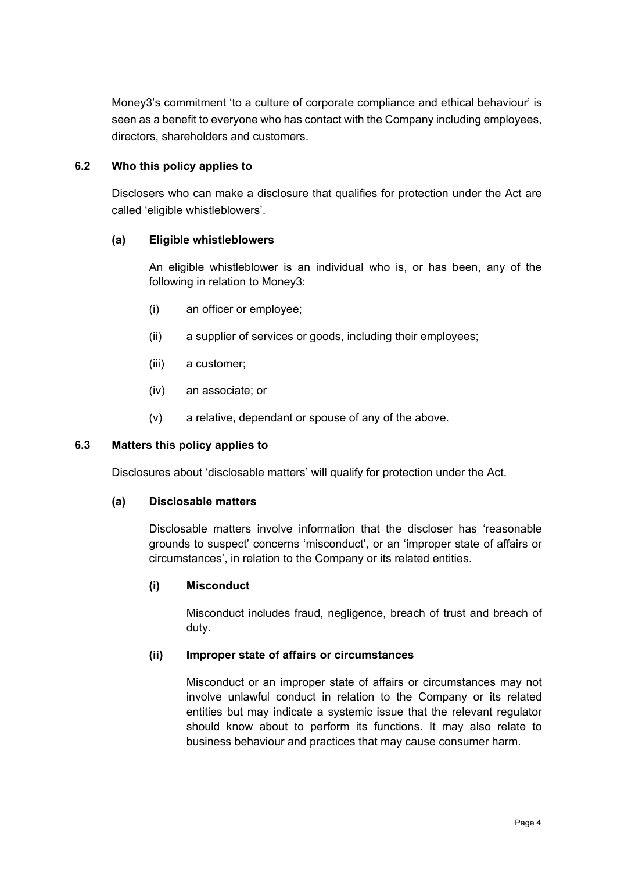Money3's commitment 'to a culture of corporate compliance and ethical behaviour' is seen as a benefit to everyone who has contact with the Company including employees, directors, shareholders and customers.

#### **6.2 Who this policy applies to**

Disclosers who can make a disclosure that qualifies for protection under the Act are called 'eligible whistleblowers'.

#### **(a) Eligible whistleblowers**

An eligible whistleblower is an individual who is, or has been, any of the following in relation to Money3:

- (i) an officer or employee;
- (ii) a supplier of services or goods, including their employees;
- (iii) a customer;
- (iv) an associate; or
- (v) a relative, dependant or spouse of any of the above.

#### **6.3 Matters this policy applies to**

Disclosures about 'disclosable matters' will qualify for protection under the Act.

#### **(a) Disclosable matters**

Disclosable matters involve information that the discloser has 'reasonable grounds to suspect' concerns 'misconduct', or an 'improper state of affairs or circumstances', in relation to the Company or its related entities.

#### **(i) Misconduct**

Misconduct includes fraud, negligence, breach of trust and breach of duty.

#### **(ii) Improper state of affairs or circumstances**

Misconduct or an improper state of affairs or circumstances may not involve unlawful conduct in relation to the Company or its related entities but may indicate a systemic issue that the relevant regulator should know about to perform its functions. It may also relate to business behaviour and practices that may cause consumer harm.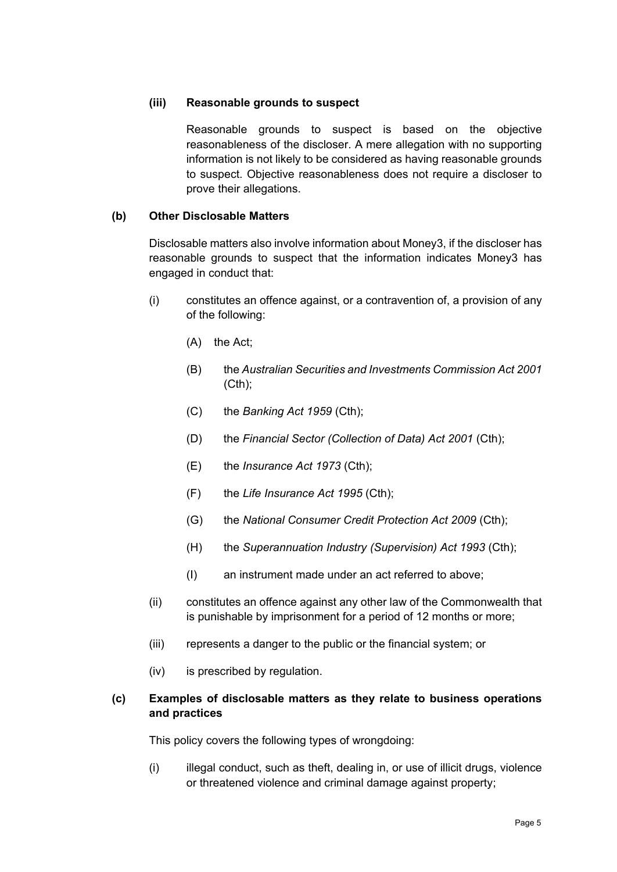#### **(iii) Reasonable grounds to suspect**

Reasonable grounds to suspect is based on the objective reasonableness of the discloser. A mere allegation with no supporting information is not likely to be considered as having reasonable grounds to suspect. Objective reasonableness does not require a discloser to prove their allegations.

#### **(b) Other Disclosable Matters**

Disclosable matters also involve information about Money3, if the discloser has reasonable grounds to suspect that the information indicates Money3 has engaged in conduct that:

- (i) constitutes an offence against, or a contravention of, a provision of any of the following:
	- (A) the Act;
	- (B) the *Australian Securities and Investments Commission Act 2001*  $(Cth)$ ;
	- (C) the *Banking Act 1959* (Cth);
	- (D) the *Financial Sector (Collection of Data) Act 2001* (Cth);
	- (E) the *Insurance Act 1973* (Cth);
	- (F) the *Life Insurance Act 1995* (Cth);
	- (G) the *National Consumer Credit Protection Act 2009* (Cth);
	- (H) the *Superannuation Industry (Supervision) Act 1993* (Cth);
	- (I) an instrument made under an act referred to above;
- (ii) constitutes an offence against any other law of the Commonwealth that is punishable by imprisonment for a period of 12 months or more;
- (iii) represents a danger to the public or the financial system; or
- (iv) is prescribed by regulation.

#### **(c) Examples of disclosable matters as they relate to business operations and practices**

This policy covers the following types of wrongdoing:

(i) illegal conduct, such as theft, dealing in, or use of illicit drugs, violence or threatened violence and criminal damage against property;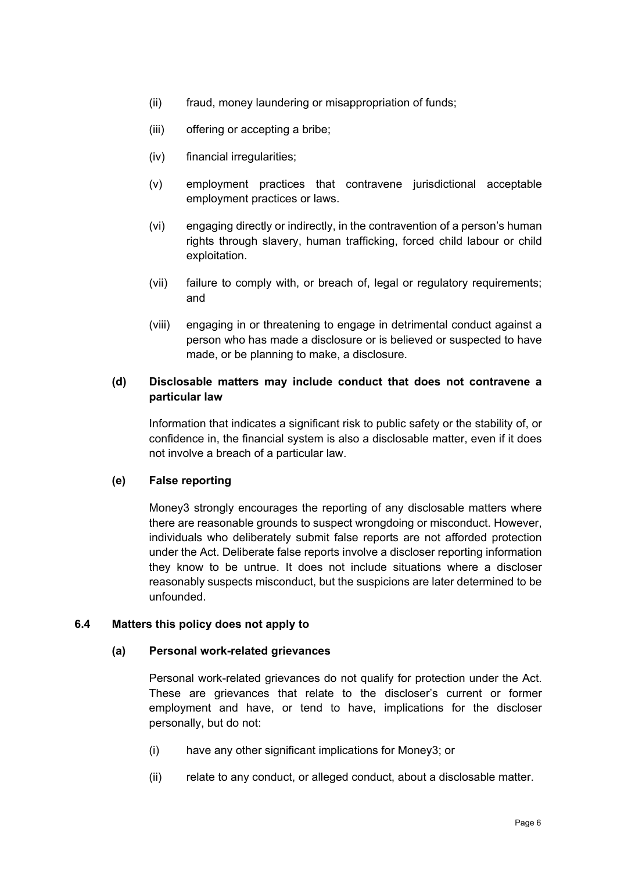- (ii) fraud, money laundering or misappropriation of funds;
- (iii) offering or accepting a bribe;
- (iv) financial irregularities;
- (v) employment practices that contravene jurisdictional acceptable employment practices or laws.
- (vi) engaging directly or indirectly, in the contravention of a person's human rights through slavery, human trafficking, forced child labour or child exploitation.
- (vii) failure to comply with, or breach of, legal or regulatory requirements; and
- (viii) engaging in or threatening to engage in detrimental conduct against a person who has made a disclosure or is believed or suspected to have made, or be planning to make, a disclosure.

#### **(d) Disclosable matters may include conduct that does not contravene a particular law**

Information that indicates a significant risk to public safety or the stability of, or confidence in, the financial system is also a disclosable matter, even if it does not involve a breach of a particular law.

#### **(e) False reporting**

Money3 strongly encourages the reporting of any disclosable matters where there are reasonable grounds to suspect wrongdoing or misconduct. However, individuals who deliberately submit false reports are not afforded protection under the Act. Deliberate false reports involve a discloser reporting information they know to be untrue. It does not include situations where a discloser reasonably suspects misconduct, but the suspicions are later determined to be unfounded.

#### **6.4 Matters this policy does not apply to**

#### **(a) Personal work-related grievances**

Personal work-related grievances do not qualify for protection under the Act. These are grievances that relate to the discloser's current or former employment and have, or tend to have, implications for the discloser personally, but do not:

- (i) have any other significant implications for Money3; or
- (ii) relate to any conduct, or alleged conduct, about a disclosable matter.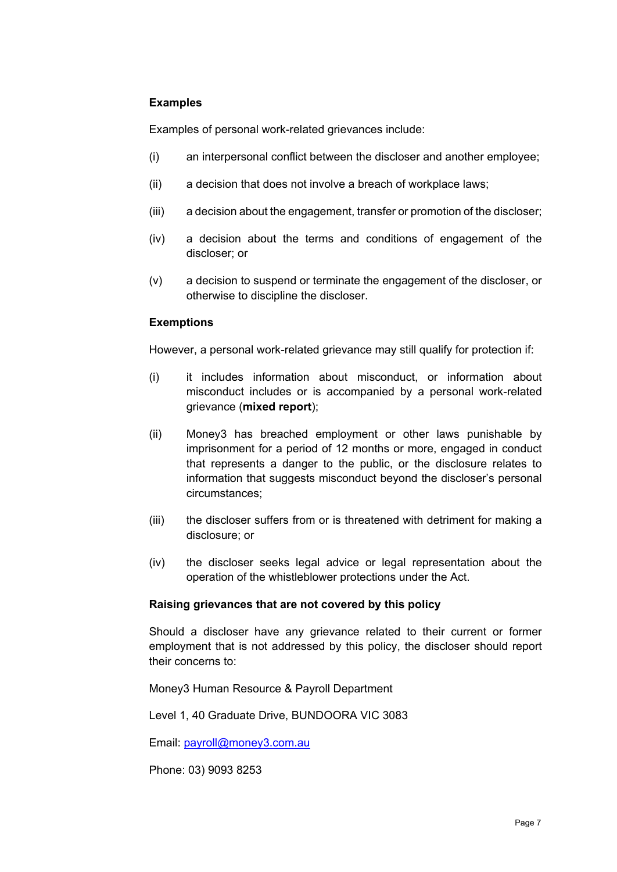#### **Examples**

Examples of personal work-related grievances include:

- (i) an interpersonal conflict between the discloser and another employee;
- (ii) a decision that does not involve a breach of workplace laws;
- (iii) a decision about the engagement, transfer or promotion of the discloser;
- (iv) a decision about the terms and conditions of engagement of the discloser; or
- (v) a decision to suspend or terminate the engagement of the discloser, or otherwise to discipline the discloser.

#### **Exemptions**

However, a personal work-related grievance may still qualify for protection if:

- (i) it includes information about misconduct, or information about misconduct includes or is accompanied by a personal work-related grievance (**mixed report**);
- (ii) Money3 has breached employment or other laws punishable by imprisonment for a period of 12 months or more, engaged in conduct that represents a danger to the public, or the disclosure relates to information that suggests misconduct beyond the discloser's personal circumstances;
- (iii) the discloser suffers from or is threatened with detriment for making a disclosure; or
- (iv) the discloser seeks legal advice or legal representation about the operation of the whistleblower protections under the Act.

#### **Raising grievances that are not covered by this policy**

Should a discloser have any grievance related to their current or former employment that is not addressed by this policy, the discloser should report their concerns to:

Money3 Human Resource & Payroll Department

Level 1, 40 Graduate Drive, BUNDOORA VIC 3083

Email: [payroll@money3.com.au](mailto:payroll@money3.com.au)

Phone: 03) 9093 8253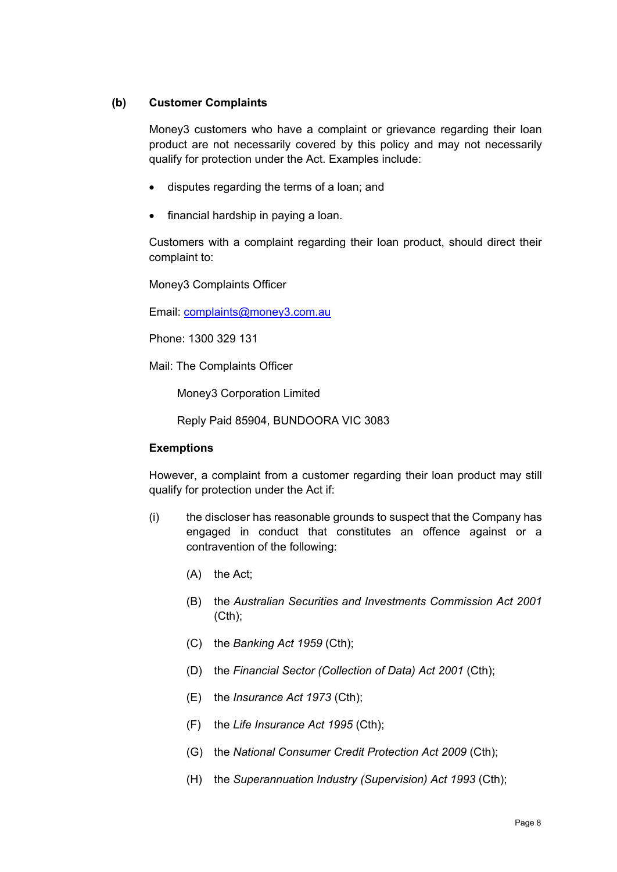#### **(b) Customer Complaints**

Money3 customers who have a complaint or grievance regarding their loan product are not necessarily covered by this policy and may not necessarily qualify for protection under the Act. Examples include:

- disputes regarding the terms of a loan; and
- financial hardship in paying a loan.

Customers with a complaint regarding their loan product, should direct their complaint to:

Money3 Complaints Officer

Email: [complaints@money3.com.au](mailto:complaints@money3.com.au)

Phone: 1300 329 131

Mail: The Complaints Officer

Money3 Corporation Limited

Reply Paid 85904, BUNDOORA VIC 3083

#### **Exemptions**

However, a complaint from a customer regarding their loan product may still qualify for protection under the Act if:

- (i) the discloser has reasonable grounds to suspect that the Company has engaged in conduct that constitutes an offence against or a contravention of the following:
	- (A) the Act;
	- (B) the *Australian Securities and Investments Commission Act 2001* (Cth);
	- (C) the *Banking Act 1959* (Cth);
	- (D) the *Financial Sector (Collection of Data) Act 2001* (Cth);
	- (E) the *Insurance Act 1973* (Cth);
	- (F) the *Life Insurance Act 1995* (Cth);
	- (G) the *National Consumer Credit Protection Act 2009* (Cth);
	- (H) the *Superannuation Industry (Supervision) Act 1993* (Cth);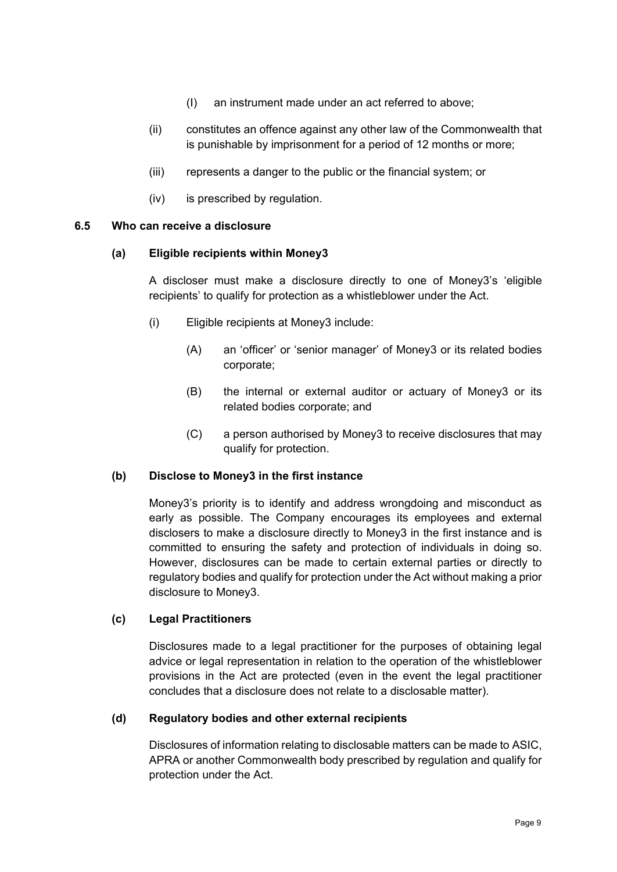- (I) an instrument made under an act referred to above;
- (ii) constitutes an offence against any other law of the Commonwealth that is punishable by imprisonment for a period of 12 months or more;
- (iii) represents a danger to the public or the financial system; or
- (iv) is prescribed by regulation.

#### **6.5 Who can receive a disclosure**

#### **(a) Eligible recipients within Money3**

A discloser must make a disclosure directly to one of Money3's 'eligible recipients' to qualify for protection as a whistleblower under the Act.

- (i) Eligible recipients at Money3 include:
	- (A) an 'officer' or 'senior manager' of Money3 or its related bodies corporate;
	- (B) the internal or external auditor or actuary of Money3 or its related bodies corporate; and
	- (C) a person authorised by Money3 to receive disclosures that may qualify for protection.

#### **(b) Disclose to Money3 in the first instance**

Money3's priority is to identify and address wrongdoing and misconduct as early as possible. The Company encourages its employees and external disclosers to make a disclosure directly to Money3 in the first instance and is committed to ensuring the safety and protection of individuals in doing so. However, disclosures can be made to certain external parties or directly to regulatory bodies and qualify for protection under the Act without making a prior disclosure to Money3.

#### **(c) Legal Practitioners**

Disclosures made to a legal practitioner for the purposes of obtaining legal advice or legal representation in relation to the operation of the whistleblower provisions in the Act are protected (even in the event the legal practitioner concludes that a disclosure does not relate to a disclosable matter).

#### **(d) Regulatory bodies and other external recipients**

Disclosures of information relating to disclosable matters can be made to ASIC, APRA or another Commonwealth body prescribed by regulation and qualify for protection under the Act.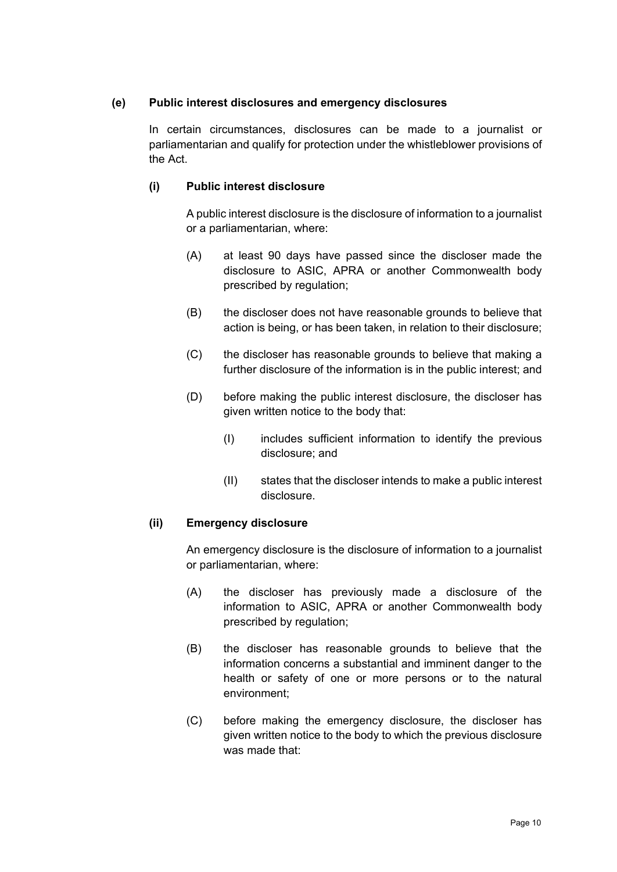#### **(e) Public interest disclosures and emergency disclosures**

In certain circumstances, disclosures can be made to a journalist or parliamentarian and qualify for protection under the whistleblower provisions of the Act.

#### **(i) Public interest disclosure**

A public interest disclosure is the disclosure of information to a journalist or a parliamentarian, where:

- (A) at least 90 days have passed since the discloser made the disclosure to ASIC, APRA or another Commonwealth body prescribed by regulation;
- (B) the discloser does not have reasonable grounds to believe that action is being, or has been taken, in relation to their disclosure;
- (C) the discloser has reasonable grounds to believe that making a further disclosure of the information is in the public interest; and
- (D) before making the public interest disclosure, the discloser has given written notice to the body that:
	- (I) includes sufficient information to identify the previous disclosure; and
	- (II) states that the discloser intends to make a public interest disclosure.

#### **(ii) Emergency disclosure**

An emergency disclosure is the disclosure of information to a journalist or parliamentarian, where:

- (A) the discloser has previously made a disclosure of the information to ASIC, APRA or another Commonwealth body prescribed by regulation;
- (B) the discloser has reasonable grounds to believe that the information concerns a substantial and imminent danger to the health or safety of one or more persons or to the natural environment;
- (C) before making the emergency disclosure, the discloser has given written notice to the body to which the previous disclosure was made that: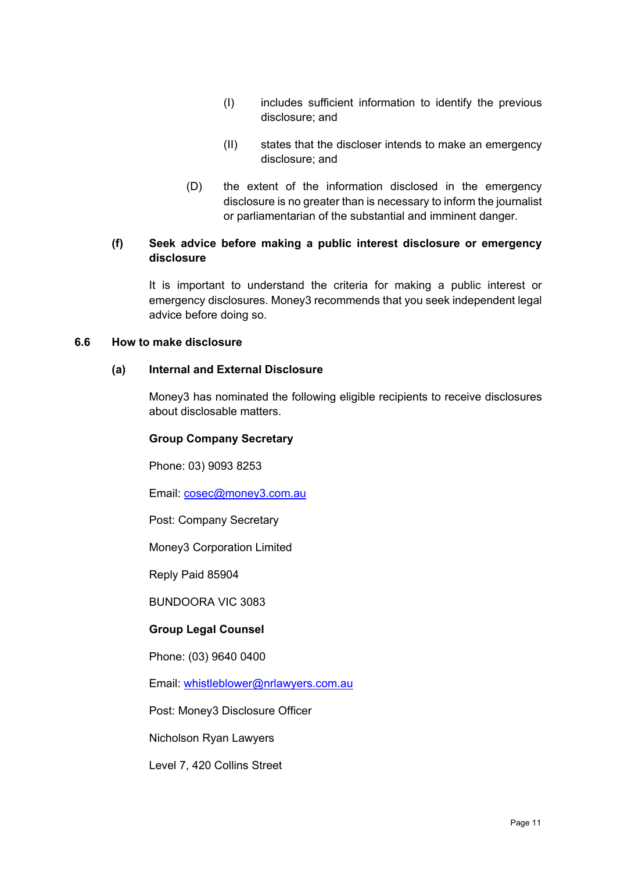- (I) includes sufficient information to identify the previous disclosure; and
- (II) states that the discloser intends to make an emergency disclosure; and
- (D) the extent of the information disclosed in the emergency disclosure is no greater than is necessary to inform the journalist or parliamentarian of the substantial and imminent danger.

#### **(f) Seek advice before making a public interest disclosure or emergency disclosure**

It is important to understand the criteria for making a public interest or emergency disclosures. Money3 recommends that you seek independent legal advice before doing so.

#### **6.6 How to make disclosure**

#### **(a) Internal and External Disclosure**

Money3 has nominated the following eligible recipients to receive disclosures about disclosable matters.

#### **Group Company Secretary**

Phone: 03) 9093 8253

Email: [cosec@money3.com.au](mailto:cosec@money3.com.au)

Post: Company Secretary

Money3 Corporation Limited

Reply Paid 85904

BUNDOORA VIC 3083

#### **Group Legal Counsel**

Phone: (03) 9640 0400

Email: [whistleblower@nrlawyers.com.au](mailto:whistleblower@nrlawyers.com.au)

Post: Money3 Disclosure Officer

Nicholson Ryan Lawyers

Level 7, 420 Collins Street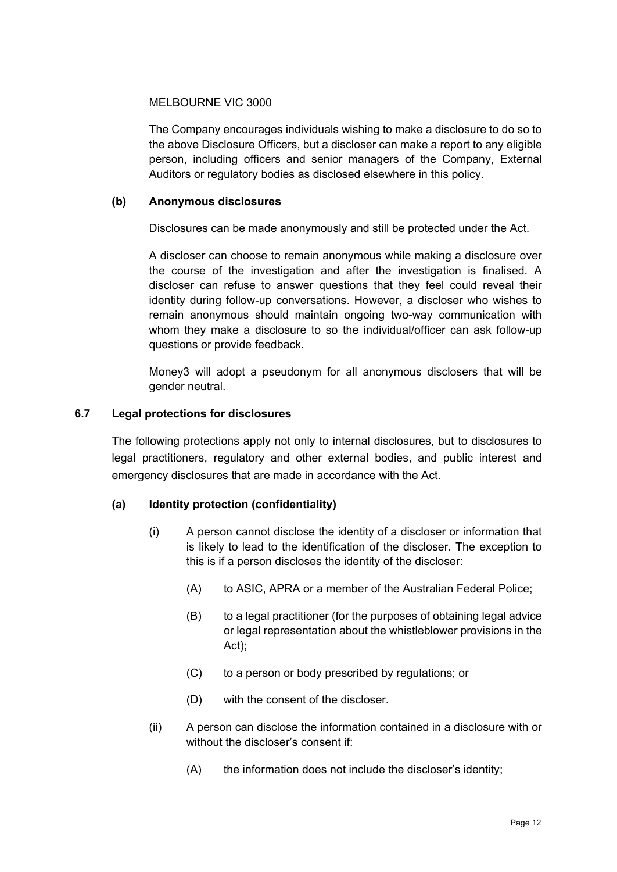#### MELBOURNE VIC 3000

The Company encourages individuals wishing to make a disclosure to do so to the above Disclosure Officers, but a discloser can make a report to any eligible person, including officers and senior managers of the Company, External Auditors or regulatory bodies as disclosed elsewhere in this policy.

#### **(b) Anonymous disclosures**

Disclosures can be made anonymously and still be protected under the Act.

A discloser can choose to remain anonymous while making a disclosure over the course of the investigation and after the investigation is finalised. A discloser can refuse to answer questions that they feel could reveal their identity during follow-up conversations. However, a discloser who wishes to remain anonymous should maintain ongoing two-way communication with whom they make a disclosure to so the individual/officer can ask follow-up questions or provide feedback.

Money3 will adopt a pseudonym for all anonymous disclosers that will be gender neutral.

#### **6.7 Legal protections for disclosures**

The following protections apply not only to internal disclosures, but to disclosures to legal practitioners, regulatory and other external bodies, and public interest and emergency disclosures that are made in accordance with the Act.

#### **(a) Identity protection (confidentiality)**

- (i) A person cannot disclose the identity of a discloser or information that is likely to lead to the identification of the discloser. The exception to this is if a person discloses the identity of the discloser:
	- (A) to ASIC, APRA or a member of the Australian Federal Police;
	- (B) to a legal practitioner (for the purposes of obtaining legal advice or legal representation about the whistleblower provisions in the Act);
	- (C) to a person or body prescribed by regulations; or
	- (D) with the consent of the discloser.
- (ii) A person can disclose the information contained in a disclosure with or without the discloser's consent if:
	- (A) the information does not include the discloser's identity;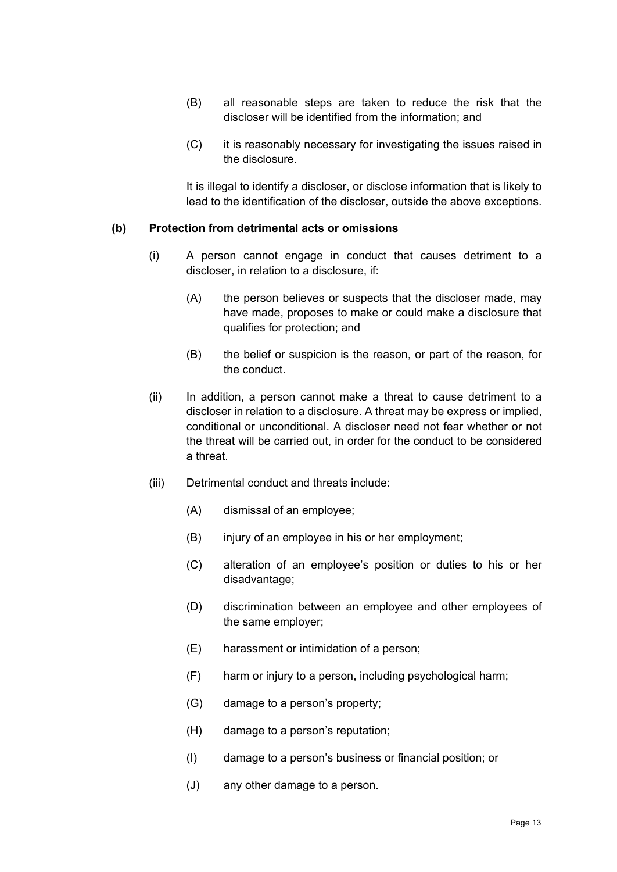- (B) all reasonable steps are taken to reduce the risk that the discloser will be identified from the information; and
- (C) it is reasonably necessary for investigating the issues raised in the disclosure.

It is illegal to identify a discloser, or disclose information that is likely to lead to the identification of the discloser, outside the above exceptions.

#### **(b) Protection from detrimental acts or omissions**

- (i) A person cannot engage in conduct that causes detriment to a discloser, in relation to a disclosure, if:
	- (A) the person believes or suspects that the discloser made, may have made, proposes to make or could make a disclosure that qualifies for protection; and
	- (B) the belief or suspicion is the reason, or part of the reason, for the conduct.
- (ii) In addition, a person cannot make a threat to cause detriment to a discloser in relation to a disclosure. A threat may be express or implied, conditional or unconditional. A discloser need not fear whether or not the threat will be carried out, in order for the conduct to be considered a threat.
- (iii) Detrimental conduct and threats include:
	- (A) dismissal of an employee;
	- (B) injury of an employee in his or her employment;
	- (C) alteration of an employee's position or duties to his or her disadvantage;
	- (D) discrimination between an employee and other employees of the same employer;
	- (E) harassment or intimidation of a person;
	- (F) harm or injury to a person, including psychological harm;
	- (G) damage to a person's property;
	- (H) damage to a person's reputation;
	- (I) damage to a person's business or financial position; or
	- (J) any other damage to a person.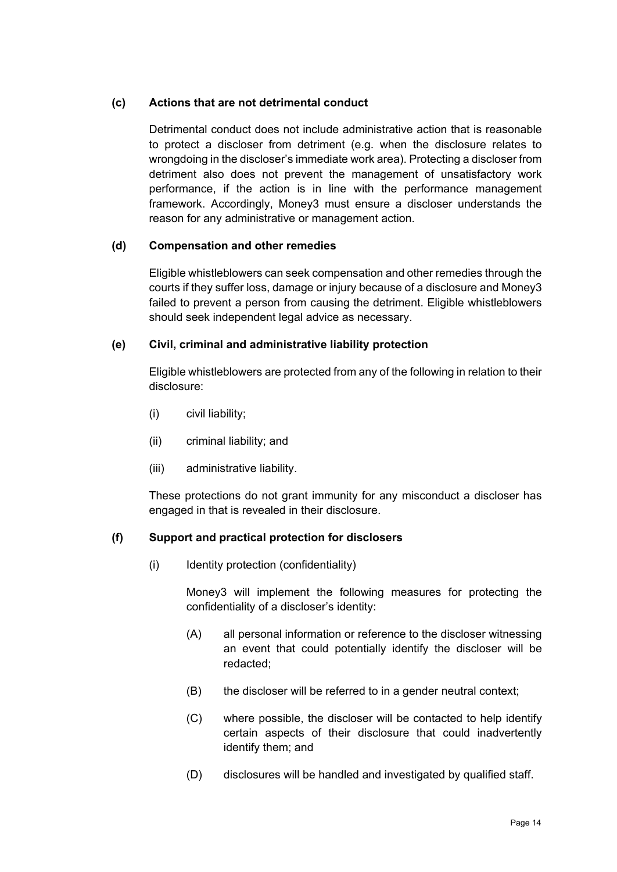#### **(c) Actions that are not detrimental conduct**

Detrimental conduct does not include administrative action that is reasonable to protect a discloser from detriment (e.g. when the disclosure relates to wrongdoing in the discloser's immediate work area). Protecting a discloser from detriment also does not prevent the management of unsatisfactory work performance, if the action is in line with the performance management framework. Accordingly, Money3 must ensure a discloser understands the reason for any administrative or management action.

#### **(d) Compensation and other remedies**

Eligible whistleblowers can seek compensation and other remedies through the courts if they suffer loss, damage or injury because of a disclosure and Money3 failed to prevent a person from causing the detriment. Eligible whistleblowers should seek independent legal advice as necessary.

#### **(e) Civil, criminal and administrative liability protection**

Eligible whistleblowers are protected from any of the following in relation to their disclosure:

- (i) civil liability;
- (ii) criminal liability; and
- (iii) administrative liability.

These protections do not grant immunity for any misconduct a discloser has engaged in that is revealed in their disclosure.

#### **(f) Support and practical protection for disclosers**

(i) Identity protection (confidentiality)

Money3 will implement the following measures for protecting the confidentiality of a discloser's identity:

- (A) all personal information or reference to the discloser witnessing an event that could potentially identify the discloser will be redacted;
- (B) the discloser will be referred to in a gender neutral context;
- (C) where possible, the discloser will be contacted to help identify certain aspects of their disclosure that could inadvertently identify them; and
- (D) disclosures will be handled and investigated by qualified staff.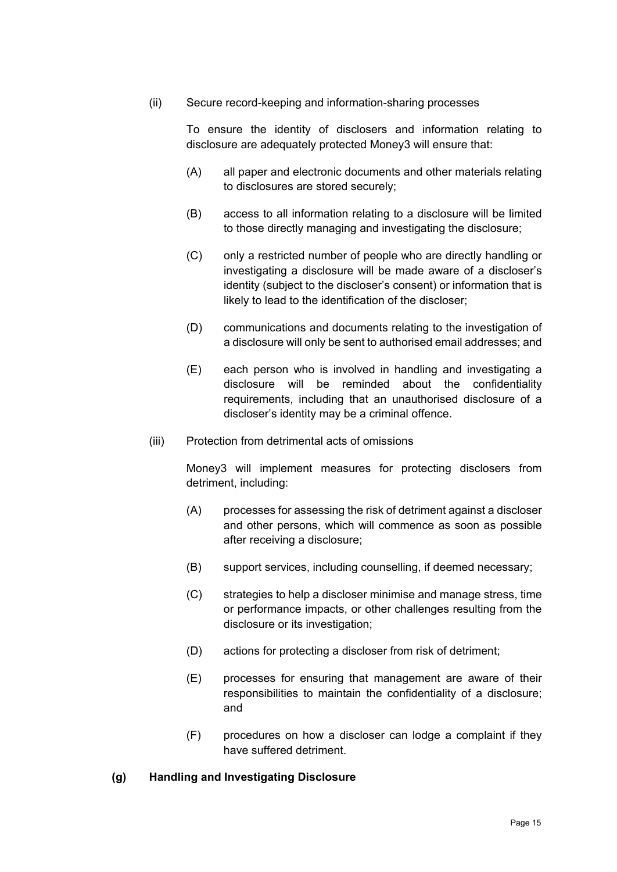#### (ii) Secure record-keeping and information-sharing processes

To ensure the identity of disclosers and information relating to disclosure are adequately protected Money3 will ensure that:

- (A) all paper and electronic documents and other materials relating to disclosures are stored securely;
- (B) access to all information relating to a disclosure will be limited to those directly managing and investigating the disclosure;
- (C) only a restricted number of people who are directly handling or investigating a disclosure will be made aware of a discloser's identity (subject to the discloser's consent) or information that is likely to lead to the identification of the discloser;
- (D) communications and documents relating to the investigation of a disclosure will only be sent to authorised email addresses; and
- (E) each person who is involved in handling and investigating a disclosure will be reminded about the confidentiality requirements, including that an unauthorised disclosure of a discloser's identity may be a criminal offence.
- (iii) Protection from detrimental acts of omissions

Money3 will implement measures for protecting disclosers from detriment, including:

- (A) processes for assessing the risk of detriment against a discloser and other persons, which will commence as soon as possible after receiving a disclosure;
- (B) support services, including counselling, if deemed necessary;
- (C) strategies to help a discloser minimise and manage stress, time or performance impacts, or other challenges resulting from the disclosure or its investigation;
- (D) actions for protecting a discloser from risk of detriment;
- (E) processes for ensuring that management are aware of their responsibilities to maintain the confidentiality of a disclosure; and
- (F) procedures on how a discloser can lodge a complaint if they have suffered detriment.

#### **(g) Handling and Investigating Disclosure**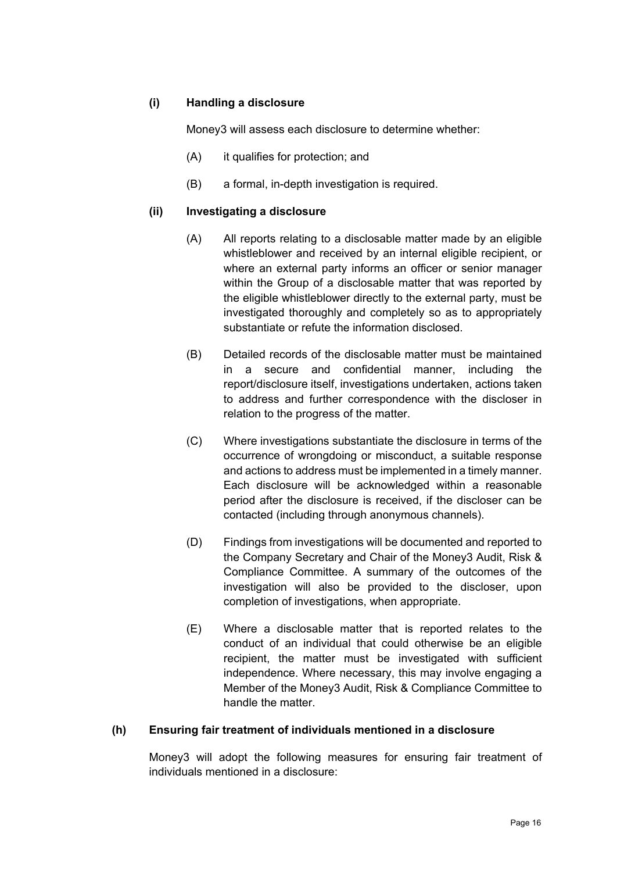#### **(i) Handling a disclosure**

Money3 will assess each disclosure to determine whether:

- (A) it qualifies for protection; and
- (B) a formal, in-depth investigation is required.

#### **(ii) Investigating a disclosure**

- (A) All reports relating to a disclosable matter made by an eligible whistleblower and received by an internal eligible recipient, or where an external party informs an officer or senior manager within the Group of a disclosable matter that was reported by the eligible whistleblower directly to the external party, must be investigated thoroughly and completely so as to appropriately substantiate or refute the information disclosed.
- (B) Detailed records of the disclosable matter must be maintained in a secure and confidential manner, including the report/disclosure itself, investigations undertaken, actions taken to address and further correspondence with the discloser in relation to the progress of the matter.
- (C) Where investigations substantiate the disclosure in terms of the occurrence of wrongdoing or misconduct, a suitable response and actions to address must be implemented in a timely manner. Each disclosure will be acknowledged within a reasonable period after the disclosure is received, if the discloser can be contacted (including through anonymous channels).
- (D) Findings from investigations will be documented and reported to the Company Secretary and Chair of the Money3 Audit, Risk & Compliance Committee. A summary of the outcomes of the investigation will also be provided to the discloser, upon completion of investigations, when appropriate.
- (E) Where a disclosable matter that is reported relates to the conduct of an individual that could otherwise be an eligible recipient, the matter must be investigated with sufficient independence. Where necessary, this may involve engaging a Member of the Money3 Audit, Risk & Compliance Committee to handle the matter.

#### **(h) Ensuring fair treatment of individuals mentioned in a disclosure**

Money3 will adopt the following measures for ensuring fair treatment of individuals mentioned in a disclosure: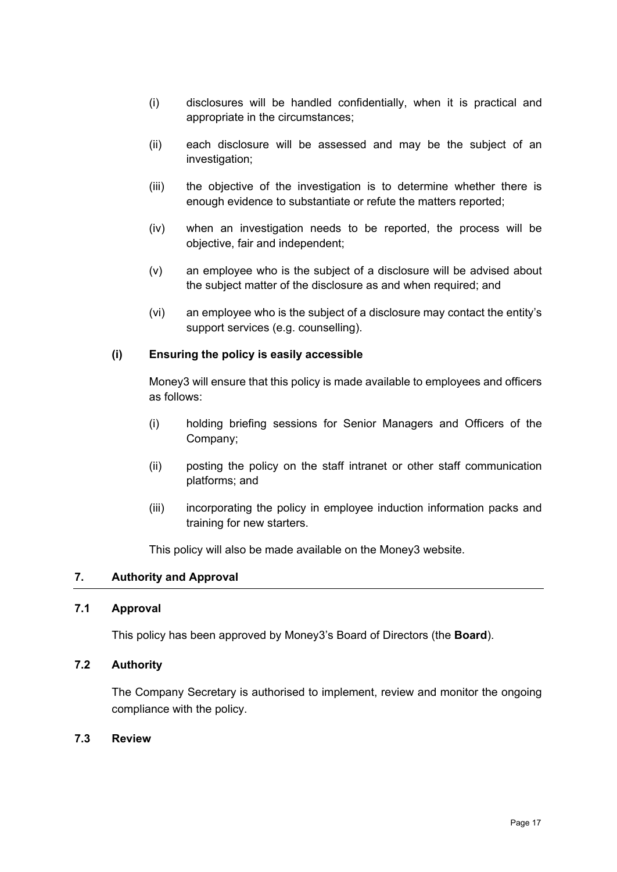- (i) disclosures will be handled confidentially, when it is practical and appropriate in the circumstances;
- (ii) each disclosure will be assessed and may be the subject of an investigation;
- (iii) the objective of the investigation is to determine whether there is enough evidence to substantiate or refute the matters reported;
- (iv) when an investigation needs to be reported, the process will be objective, fair and independent;
- (v) an employee who is the subject of a disclosure will be advised about the subject matter of the disclosure as and when required; and
- (vi) an employee who is the subject of a disclosure may contact the entity's support services (e.g. counselling).

#### **(i) Ensuring the policy is easily accessible**

Money3 will ensure that this policy is made available to employees and officers as follows:

- (i) holding briefing sessions for Senior Managers and Officers of the Company;
- (ii) posting the policy on the staff intranet or other staff communication platforms; and
- (iii) incorporating the policy in employee induction information packs and training for new starters.

This policy will also be made available on the Money3 website.

#### **7. Authority and Approval**

#### **7.1 Approval**

This policy has been approved by Money3's Board of Directors (the **Board**).

#### **7.2 Authority**

The Company Secretary is authorised to implement, review and monitor the ongoing compliance with the policy.

#### **7.3 Review**